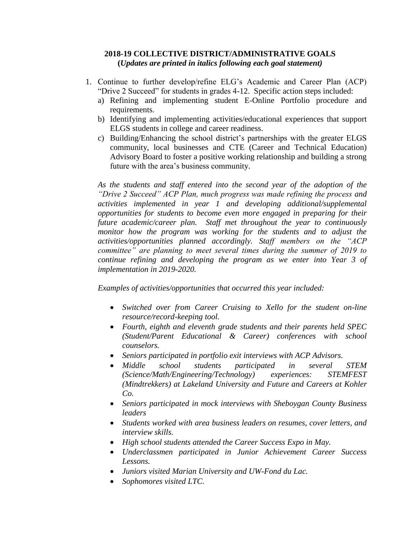## **2018-19 COLLECTIVE DISTRICT/ADMINISTRATIVE GOALS (***Updates are printed in italics following each goal statement)*

- 1. Continue to further develop/refine ELG's Academic and Career Plan (ACP) "Drive 2 Succeed" for students in grades 4-12. Specific action steps included:
	- a) Refining and implementing student E-Online Portfolio procedure and requirements.
	- b) Identifying and implementing activities/educational experiences that support ELGS students in college and career readiness.
	- c) Building/Enhancing the school district's partnerships with the greater ELGS community, local businesses and CTE (Career and Technical Education) Advisory Board to foster a positive working relationship and building a strong future with the area's business community.

*As the students and staff entered into the second year of the adoption of the "Drive 2 Succeed" ACP Plan, much progress was made refining the process and activities implemented in year 1 and developing additional/supplemental opportunities for students to become even more engaged in preparing for their future academic/career plan. Staff met throughout the year to continuously monitor how the program was working for the students and to adjust the activities/opportunities planned accordingly. Staff members on the "ACP committee" are planning to meet several times during the summer of 2019 to continue refining and developing the program as we enter into Year 3 of implementation in 2019-2020.*

*Examples of activities/opportunities that occurred this year included:*

- *Switched over from Career Cruising to Xello for the student on-line resource/record-keeping tool.*
- *Fourth, eighth and eleventh grade students and their parents held SPEC (Student/Parent Educational & Career) conferences with school counselors.*
- *Seniors participated in portfolio exit interviews with ACP Advisors.*
- *Middle school students participated in several STEM (Science/Math/Engineering/Technology) experiences: STEMFEST (Mindtrekkers) at Lakeland University and Future and Careers at Kohler Co.*
- *Seniors participated in mock interviews with Sheboygan County Business leaders*
- *Students worked with area business leaders on resumes, cover letters, and interview skills.*
- *High school students attended the Career Success Expo in May.*
- *Underclassmen participated in Junior Achievement Career Success Lessons.*
- *Juniors visited Marian University and UW-Fond du Lac.*
- *Sophomores visited LTC.*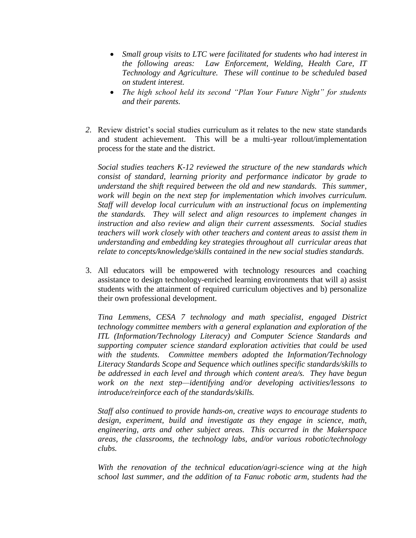- *Small group visits to LTC were facilitated for students who had interest in the following areas: Law Enforcement, Welding, Health Care, IT Technology and Agriculture. These will continue to be scheduled based on student interest.*
- *The high school held its second "Plan Your Future Night" for students and their parents.*
- *2.* Review district's social studies curriculum as it relates to the new state standards and student achievement. This will be a multi-year rollout/implementation process for the state and the district.

*Social studies teachers K-12 reviewed the structure of the new standards which consist of standard, learning priority and performance indicator by grade to understand the shift required between the old and new standards. This summer,* work will begin on the next step for implementation which involves curriculum. *Staff will develop local curriculum with an instructional focus on implementing the standards. They will select and align resources to implement changes in instruction and also review and align their current assessments. Social studies teachers will work closely with other teachers and content areas to assist them in understanding and embedding key strategies throughout all curricular areas that relate to concepts/knowledge/skills contained in the new social studies standards.* 

3. All educators will be empowered with technology resources and coaching assistance to design technology-enriched learning environments that will a) assist students with the attainment of required curriculum objectives and b) personalize their own professional development.

*Tina Lemmens, CESA 7 technology and math specialist, engaged District technology committee members with a general explanation and exploration of the ITL (Information/Technology Literacy) and Computer Science Standards and supporting computer science standard exploration activities that could be used with the students. Committee members adopted the Information/Technology Literacy Standards Scope and Sequence which outlines specific standards/skills to be addressed in each level and through which content area/s. They have begun work on the next step—identifying and/or developing activities/lessons to introduce/reinforce each of the standards/skills.*

*Staff also continued to provide hands-on, creative ways to encourage students to design, experiment, build and investigate as they engage in science, math, engineering, arts and other subject areas. This occurred in the Makerspace areas, the classrooms, the technology labs, and/or various robotic/technology clubs.* 

*With the renovation of the technical education/agri-science wing at the high school last summer, and the addition of ta Fanuc robotic arm, students had the*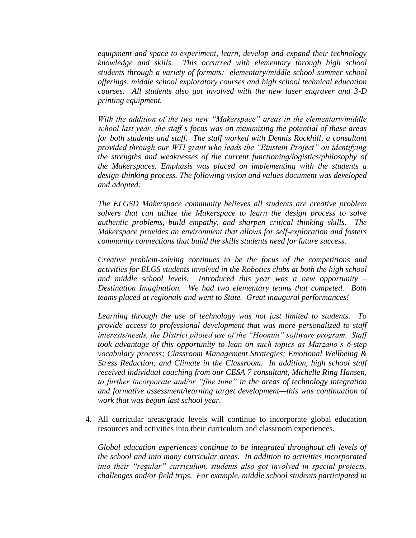*equipment and space to experiment, learn, develop and expand their technology knowledge and skills. This occurred with elementary through high school students through a variety of formats: elementary/middle school summer school offerings, middle school exploratory courses and high school technical education courses. All students also got involved with the new laser engraver and 3-D printing equipment.*

*With the addition of the two new "Makerspace" areas in the elementary/middle school last year, the staff's focus was on maximizing the potential of these areas*  for both students and staff. The staff worked with Dennis Rockhill, a consultant *provided through our WTI grant who leads the "Einstein Project" on identifying the strengths and weaknesses of the current functioning/logistics/philosophy of the Makerspaces. Emphasis was placed on implementing with the students a design-thinking process. The following vision and values document was developed and adopted:* 

*The ELGSD Makerspace community believes all students are creative problem solvers that can utilize the Makerspace to learn the design process to solve authentic problems, build empathy, and sharpen critical thinking skills. The Makerspace provides an environment that allows for self-exploration and fosters community connections that build the skills students need for future success.* 

*Creative problem-solving continues to be the focus of the competitions and activities for ELGS students involved in the Robotics clubs at both the high school and middle school levels. Introduced this year was a new opportunity – Destination Imagination. We had two elementary teams that competed. Both teams placed at regionals and went to State. Great inaugural performances!*

*Learning through the use of technology was not just limited to students. To provide access to professional development that was more personalized to staff interests/needs, the District piloted use of the "Hoonuit" software program. Staff took advantage of this opportunity to lean on such topics as Marzano's 6-step vocabulary process; Classroom Management Strategies; Emotional Wellbeing & Stress Reduction; and Climate in the Classroom. In addition, high school staff received individual coaching from our CESA 7 consultant, Michelle Ring Hansen, to further incorporate and/or "fine tune" in the areas of technology integration and formative assessment/learning target development—this was continuation of work that was begun last school year.*

4. All curricular areas/grade levels will continue to incorporate global education resources and activities into their curriculum and classroom experiences.

 *Global education experiences continue to be integrated throughout all levels of the school and into many curricular areas. In addition to activities incorporated into their "regular" curriculum, students also got involved in special projects, challenges and/or field trips. For example, middle school students participated in*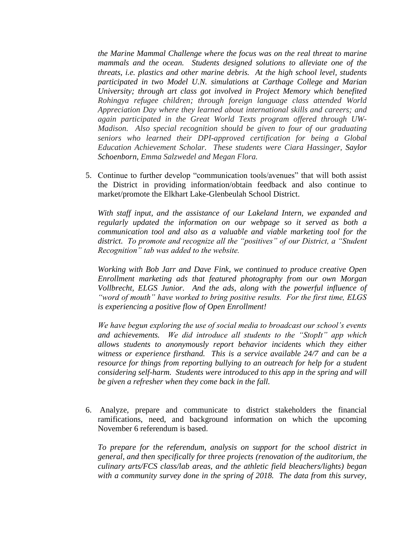*the Marine Mammal Challenge where the focus was on the real threat to marine mammals and the ocean. Students designed solutions to alleviate one of the threats, i.e. plastics and other marine debris. At the high school level, students participated in two Model U.N. simulations at Carthage College and Marian University; through art class got involved in Project Memory which benefited Rohingya refugee children; through foreign language class attended World Appreciation Day where they learned about international skills and careers; and again participated in the Great World Texts program offered through UW-Madison. Also special recognition should be given to four of our graduating seniors who learned their DPI-approved certification for being a Global Education Achievement Scholar. These students were Ciara Hassinger, Saylor Schoenborn, Emma Salzwedel and Megan Flora.* 

5. Continue to further develop "communication tools/avenues" that will both assist the District in providing information/obtain feedback and also continue to market/promote the Elkhart Lake-Glenbeulah School District.

*With staff input, and the assistance of our Lakeland Intern, we expanded and regularly updated the information on our webpage so it served as both a communication tool and also as a valuable and viable marketing tool for the district. To promote and recognize all the "positives" of our District, a "Student Recognition" tab was added to the website.*

*Working with Bob Jarr and Dave Fink, we continued to produce creative Open Enrollment marketing ads that featured photography from our own Morgan Vollbrecht, ELGS Junior. And the ads, along with the powerful influence of "word of mouth" have worked to bring positive results. For the first time, ELGS is experiencing a positive flow of Open Enrollment!*

*We have begun exploring the use of social media to broadcast our school's events and achievements. We did introduce all students to the "StopIt" app which allows students to anonymously report behavior incidents which they either witness or experience firsthand. This is a service available 24/7 and can be a resource for things from reporting bullying to an outreach for help for a student considering self-harm. Students were introduced to this app in the spring and will be given a refresher when they come back in the fall.*

6. Analyze, prepare and communicate to district stakeholders the financial ramifications, need, and background information on which the upcoming November 6 referendum is based.

*To prepare for the referendum, analysis on support for the school district in general, and then specifically for three projects (renovation of the auditorium, the culinary arts/FCS class/lab areas, and the athletic field bleachers/lights) began with a community survey done in the spring of 2018. The data from this survey,*